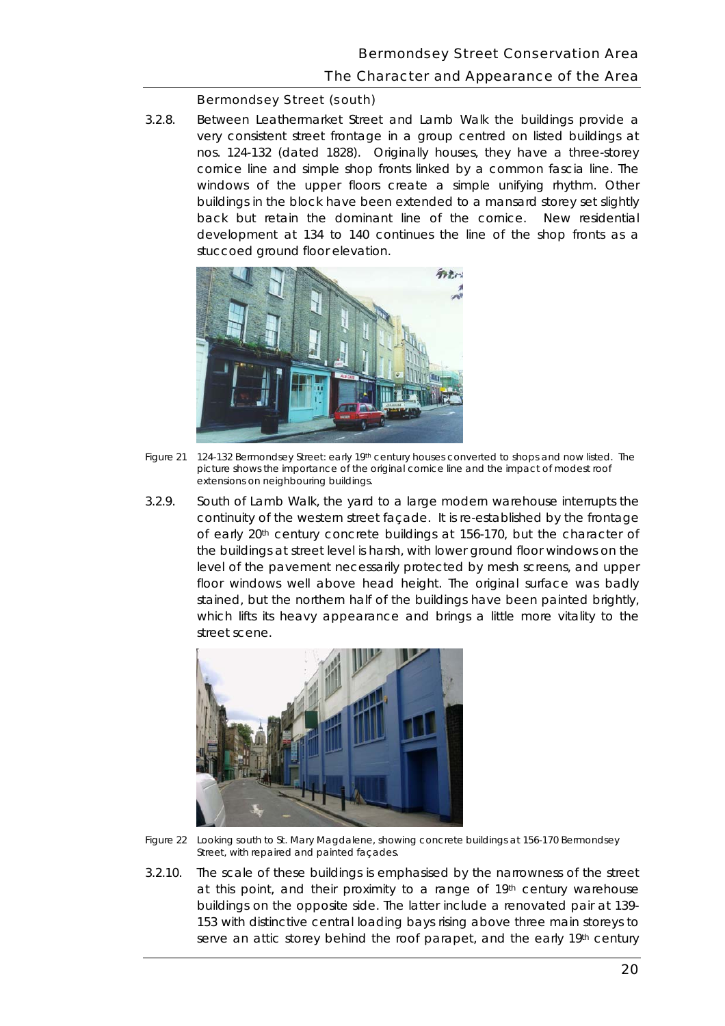#### Bermondsey Street (south)

 buildings in the block have been extended to a mansard storey set slightly 3.2.8. Between Leathermarket Street and Lamb Walk the buildings provide a very consistent street frontage in a group centred on listed buildings at nos. 124-132 (dated 1828). Originally houses, they have a three-storey cornice line and simple shop fronts linked by a common fascia line. The windows of the upper floors create a simple unifying rhythm. Other back but retain the dominant line of the cornice. New residential development at 134 to 140 continues the line of the shop fronts as a stuccoed ground floor elevation.



 *Figure 21 124-132 Bermondsey Street: early 19th century houses converted to shops and now listed. The picture shows the importance of the original cornice line and the impact of modest roof extensions on neighbouring buildings.* 

 continuity of the western street façade. It is re-established by the frontage 3.2.9. South of Lamb Walk, the yard to a large modern warehouse interrupts the of early 20th century concrete buildings at 156-170, but the character of the buildings at street level is harsh, with lower ground floor windows on the level of the pavement necessarily protected by mesh screens, and upper floor windows well above head height. The original surface was badly stained, but the northern half of the buildings have been painted brightly, which lifts its heavy appearance and brings a little more vitality to the street scene.



*Figure 22 Looking south to St. Mary Magdalene, showing concrete buildings at 156-170 Bermondsey Street, with repaired and painted façades.* 

3.2.10. The scale of these buildings is emphasised by the narrowness of the street at this point, and their proximity to a range of 19th century warehouse buildings on the opposite side. The latter include a renovated pair at 139 153 with distinctive central loading bays rising above three main storeys to serve an attic storey behind the roof parapet, and the early 19th century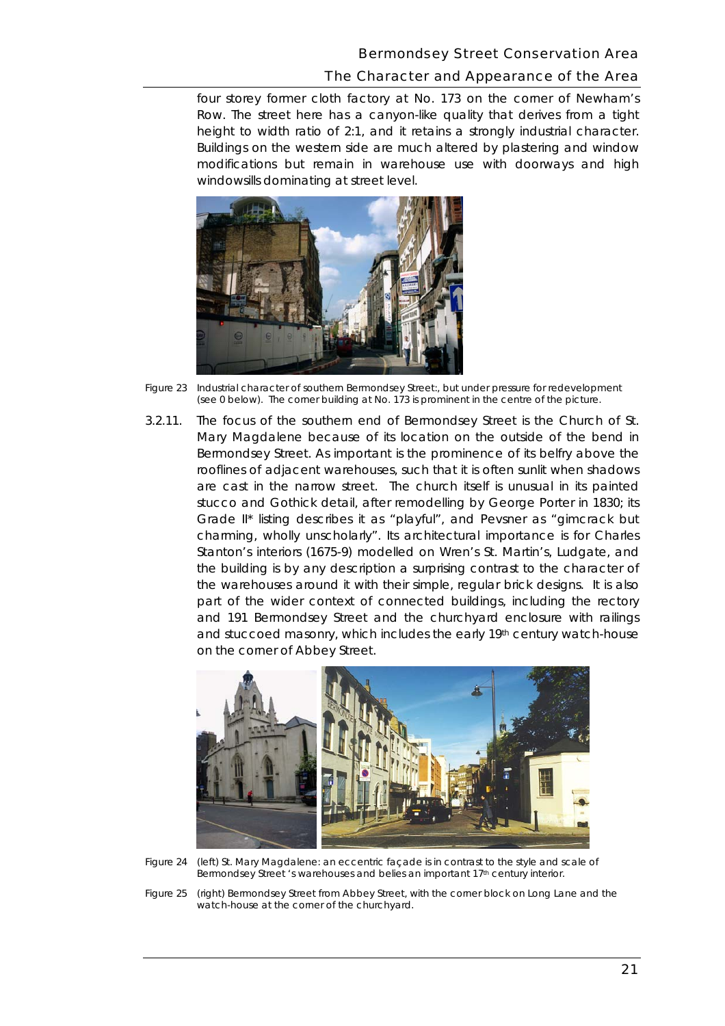# Bermondsey Street Conservation Area The Character and Appearance of the Area

 Row. The street here has a canyon-like quality that derives from a tight modifications but remain in warehouse use with doorways and high windowsills dominating at street level. four storey former cloth factory at No. 173 on the corner of Newham's height to width ratio of 2:1, and it retains a strongly industrial character. Buildings on the western side are much altered by plastering and window



*Figure 23 Industrial character of southern Bermondsey Street:, but under pressure for redevelopment (see 0 below). The corner building at No. 173 is prominent in the centre of the picture.* 

3.2.11. The focus of the southern end of Bermondsey Street is the Church of St. are cast in the narrow street. The church itself is unusual in its painted the warehouses around it with their simple, regular brick designs. It is also Mary Magdalene because of its location on the outside of the bend in Bermondsey Street. As important is the prominence of its belfry above the rooflines of adjacent warehouses, such that it is often sunlit when shadows stucco and Gothick detail, after remodelling by George Porter in 1830; its Grade II\* listing describes it as "playful", and Pevsner as "gimcrack but charming, wholly unscholarly". Its architectural importance is for Charles Stanton's interiors (1675-9) modelled on Wren's St. Martin's, Ludgate, and the building is by any description a surprising contrast to the character of part of the wider context of connected buildings, including the rectory and 191 Bermondsey Street and the churchyard enclosure with railings and stuccoed masonry, which includes the early 19th century watch-house on the corner of Abbey Street.



*Figure 24 (left) St. Mary Magdalene: an eccentric façade is in contrast to the style and scale of Bermondsey Street 's warehouses and belies an important 17th century interior.* 

 *Figure 25 (right) Bermondsey Street from Abbey Street, with the corner block on Long Lane and the watch-house at the corner of the churchyard.*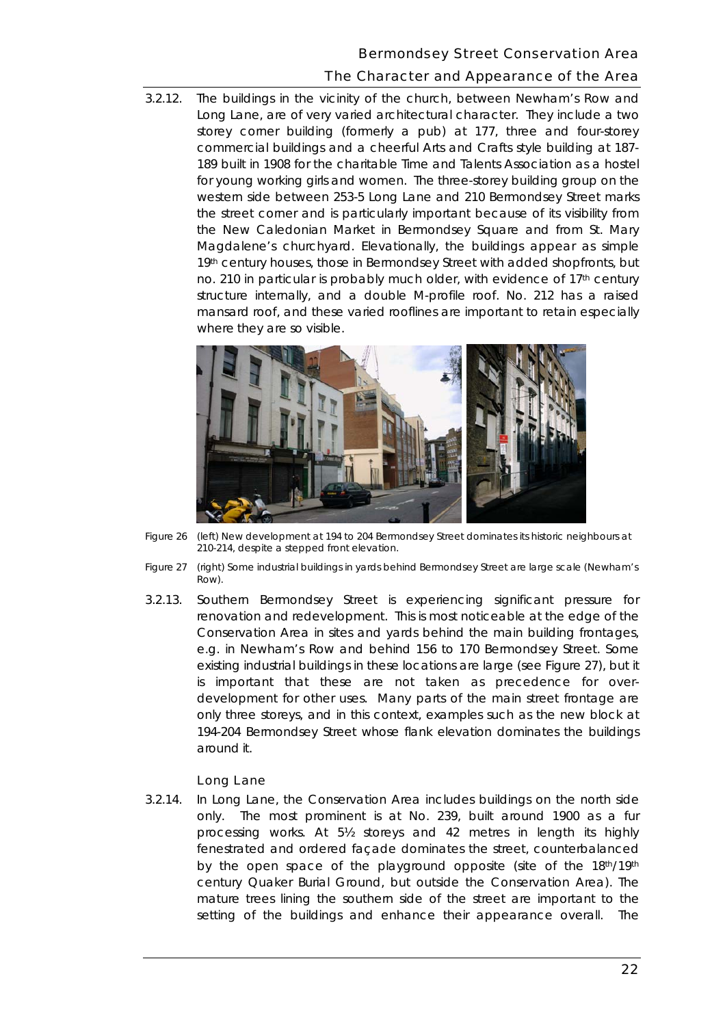## Bermondsey Street Conservation Area

# The Character and Appearance of the Area

 Long Lane, are of very varied architectural character. They include a two mansard roof, and these varied rooflines are important to retain especially 3.2.12. The buildings in the vicinity of the church, between Newham's Row and storey corner building (formerly a pub) at 177, three and four-storey commercial buildings and a cheerful Arts and Crafts style building at 187 189 built in 1908 for the charitable Time and Talents Association as a hostel for young working girls and women. The three-storey building group on the western side between 253-5 Long Lane and 210 Bermondsey Street marks the street corner and is particularly important because of its visibility from the New Caledonian Market in Bermondsey Square and from St. Mary Magdalene's churchyard. Elevationally, the buildings appear as simple 19th century houses, those in Bermondsey Street with added shopfronts, but no. 210 in particular is probably much older, with evidence of 17th century structure internally, and a double M-profile roof. No. 212 has a raised where they are so visible.



*Figure 26 (left) New development at 194 to 204 Bermondsey Street dominates its historic neighbours at 210-214, despite a stepped front elevation.* 

- *Figure 27 (right) Some industrial buildings in yards behind Bermondsey Street are large scale (Newham's Row).*
- 3.2.13. Southern Bermondsey Street is experiencing significant pressure for renovation and redevelopment. This is most noticeable at the edge of the is important that these are not taken as precedence for over-Conservation Area in sites and yards behind the main building frontages, e.g. in Newham's Row and behind 156 to 170 Bermondsey Street. Some existing industrial buildings in these locations are large (see Figure 27), but it development for other uses. Many parts of the main street frontage are only three storeys, and in this context, examples such as the new block at 194-204 Bermondsey Street whose flank elevation dominates the buildings around it.

## Long Lane

 mature trees lining the southern side of the street are important to the 3.2.14. In Long Lane, the Conservation Area includes buildings on the north side only. The most prominent is at No. 239, built around 1900 as a fur processing works. At 5½ storeys and 42 metres in length its highly fenestrated and ordered façade dominates the street, counterbalanced by the open space of the playground opposite (site of the 18th/19th century Quaker Burial Ground, but outside the Conservation Area). The setting of the buildings and enhance their appearance overall. The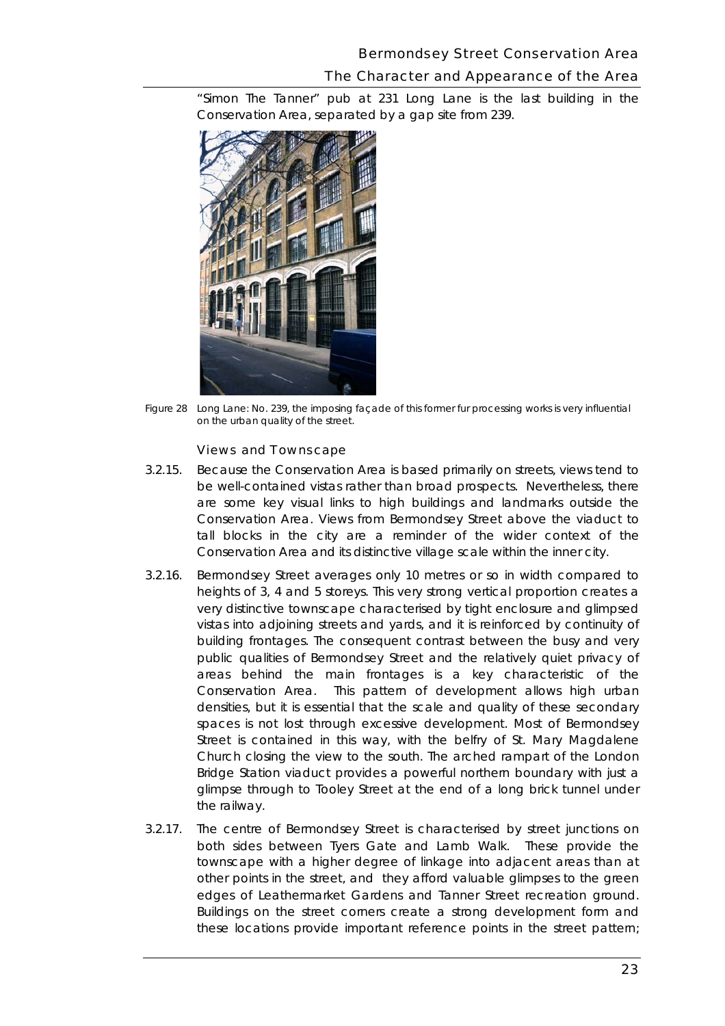### Bermondsey Street Conservation Area

## The Character and Appearance of the Area

"Simon The Tanner" pub at 231 Long Lane is the last building in the Conservation Area, separated by a gap site from 239.



*Figure 28 Long Lane: No. 239, the imposing façade of this former fur processing works is very influential on the urban quality of the street.* 

#### Views and Townscape

- be well-contained vistas rather than broad prospects. Nevertheless, there are some key visual links to high buildings and landmarks outside the Conservation Area. Views from Bermondsey Street above the viaduct to tall blocks in the city are a reminder of the wider context of the 3.2.15. Because the Conservation Area is based primarily on streets, views tend to Conservation Area and its distinctive village scale within the inner city.
- 3.2.16. Bermondsey Street averages only 10 metres or so in width compared to very distinctive townscape characterised by tight enclosure and glimpsed building frontages. The consequent contrast between the busy and very densities, but it is essential that the scale and quality of these secondary Church closing the view to the south. The arched rampart of the London Bridge Station viaduct provides a powerful northern boundary with just a the railway. heights of 3, 4 and 5 storeys. This very strong vertical proportion creates a vistas into adjoining streets and yards, and it is reinforced by continuity of public qualities of Bermondsey Street and the relatively quiet privacy of areas behind the main frontages is a key characteristic of the Conservation Area. This pattern of development allows high urban spaces is not lost through excessive development. Most of Bermondsey Street is contained in this way, with the belfry of St. Mary Magdalene glimpse through to Tooley Street at the end of a long brick tunnel under
- other points in the street, and they afford valuable glimpses to the green edges of Leathermarket Gardens and Tanner Street recreation ground. edges of Leathermarket Gardens and Tanner Street recreation ground.<br>Buildings on the street corners create a strong development form and these locations provide important reference points in the street pattern; 3.2.17. The centre of Bermondsey Street is characterised by street junctions on both sides between Tyers Gate and Lamb Walk. These provide the townscape with a higher degree of linkage into adjacent areas than at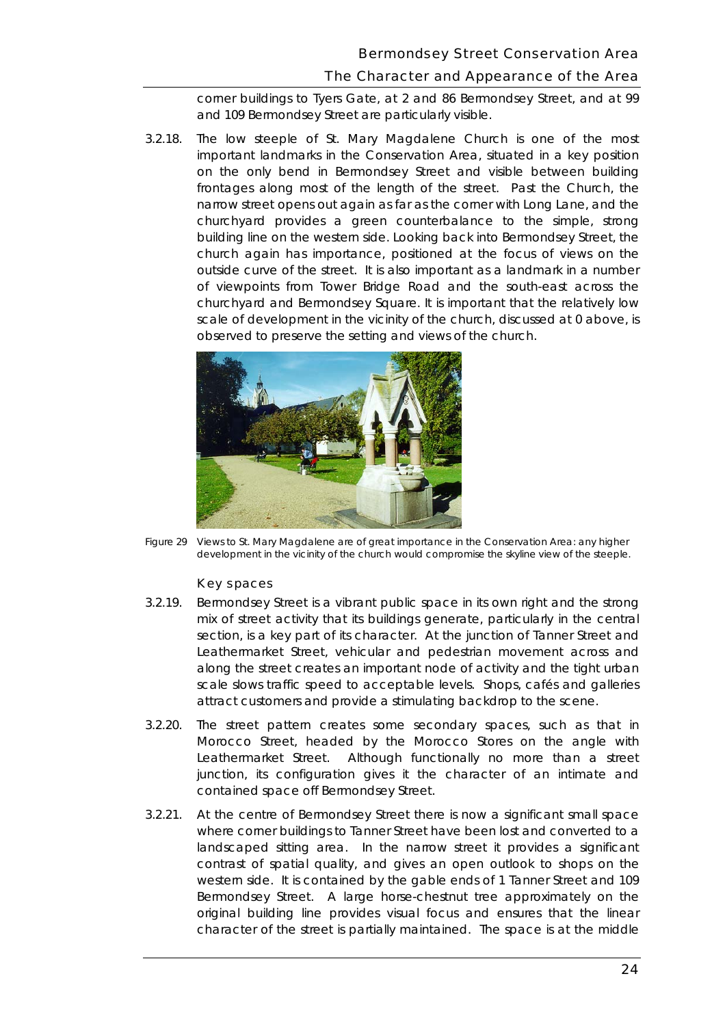corner buildings to Tyers Gate, at 2 and 86 Bermondsey Street, and at 99 and 109 Bermondsey Street are particularly visible.

 churchyard provides a green counterbalance to the simple, strong building line on the western side. Looking back into Bermondsey Street, the outside curve of the street. It is also important as a landmark in a number churchyard and Bermondsey Square. It is important that the relatively low scale of development in the vicinity of the church, discussed at 0 above, is 3.2.18. The low steeple of St. Mary Magdalene Church is one of the most important landmarks in the Conservation Area, situated in a key position on the only bend in Bermondsey Street and visible between building frontages along most of the length of the street. Past the Church, the narrow street opens out again as far as the corner with Long Lane, and the church again has importance, positioned at the focus of views on the of viewpoints from Tower Bridge Road and the south-east across the observed to preserve the setting and views of the church.



*Figure 29 Views to St. Mary Magdalene are of great importance in the Conservation Area: any higher*  development in the vicinity of the church would compromise the skyline view of the steeple.

#### Key spaces

- section, is a key part of its character. At the junction of Tanner Street and along the street creates an important node of activity and the tight urban attract customers and provide a stimulating backdrop to the scene. 3.2.19. Bermondsey Street is a vibrant public space in its own right and the strong mix of street activity that its buildings generate, particularly in the central Leathermarket Street, vehicular and pedestrian movement across and scale slows traffic speed to acceptable levels. Shops, cafés and galleries
- 3.2.20. The street pattern creates some secondary spaces, such as that in Morocco Street, headed by the Morocco Stores on the angle with Leathermarket Street. Although functionally no more than a street junction, its configuration gives it the character of an intimate and contained space off Bermondsey Street.
- $3.2.21.$  landscaped sitting area. In the narrow street it provides a significant western side. It is contained by the gable ends of 1 Tanner Street and 109 original building line provides visual focus and ensures that the linear character of the street is partially maintained. The space is at the middle At the centre of Bermondsey Street there is now a significant small space where corner buildings to Tanner Street have been lost and converted to a contrast of spatial quality, and gives an open outlook to shops on the Bermondsey Street. A large horse-chestnut tree approximately on the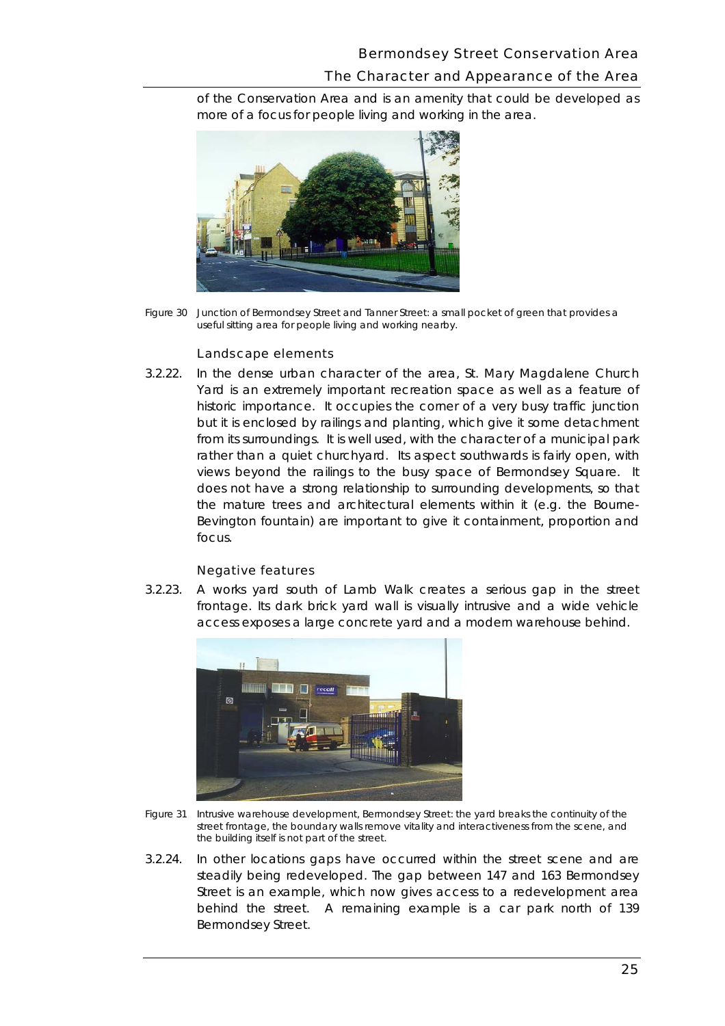more of a focus for people living and working in the area. of the Conservation Area and is an amenity that could be developed as



*Figure 30 Junction of Bermondsey Street and Tanner Street: a small pocket of green that provides a useful sitting area for people living and working nearby.* 

#### Landscape elements

 historic importance. It occupies the corner of a very busy traffic junction from its surroundings. It is well used, with the character of a municipal park the mature trees and architectural elements within it (e.g. the Bourne-3.2.22. In the dense urban character of the area, St. Mary Magdalene Church Yard is an extremely important recreation space as well as a feature of but it is enclosed by railings and planting, which give it some detachment rather than a quiet churchyard. Its aspect southwards is fairly open, with views beyond the railings to the busy space of Bermondsey Square. It does not have a strong relationship to surrounding developments, so that Bevington fountain) are important to give it containment, proportion and focus.

#### Negative features

 frontage. Its dark brick yard wall is visually intrusive and a wide vehicle 3.2.23. A works yard south of Lamb Walk creates a serious gap in the street access exposes a large concrete yard and a modern warehouse behind.



- *Figure 31 Intrusive warehouse development, Bermondsey Street: the yard breaks the continuity of the street frontage, the boundary walls remove vitality and interactiveness from the scene, and the building itself is not part of the street.*
- 3.2.24. In other locations gaps have occurred within the street scene and are steadily being redeveloped. The gap between 147 and 163 Bermondsey Street is an example, which now gives access to a redevelopment area behind the street. A remaining example is a car park north of 139 Bermondsey Street.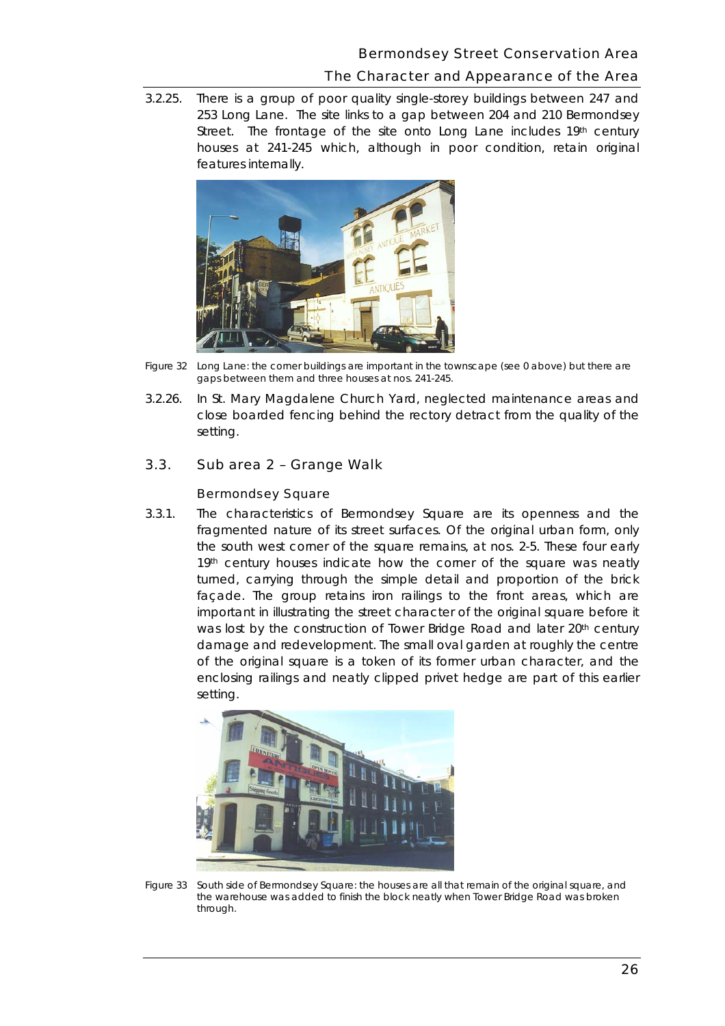$3.2.25.$  houses at 241-245 which, although in poor condition, retain original There is a group of poor quality single-storey buildings between 247 and 253 Long Lane. The site links to a gap between 204 and 210 Bermondsey Street. The frontage of the site onto Long Lane includes 19th century features internally.



*Figure 32 Long Lane: the corner buildings are important in the townscape (see 0 above) but there are gaps between them and three houses at nos. 241-245.* 

 setting. 3.2.26. In St. Mary Magdalene Church Yard, neglected maintenance areas and close boarded fencing behind the rectory detract from the quality of the

### 3.3. Sub area 2 – Grange Walk

#### Bermondsey Square

 3.3.1. The characteristics of Bermondsey Square are its openness and the important in illustrating the street character of the original square before it was lost by the construction of Tower Bridge Road and later 20<sup>th</sup> century enclosing railings and neatly clipped privet hedge are part of this earlier fragmented nature of its street surfaces. Of the original urban form, only the south west corner of the square remains, at nos. 2-5. These four early 19th century houses indicate how the corner of the square was neatly turned, carrying through the simple detail and proportion of the brick façade. The group retains iron railings to the front areas, which are damage and redevelopment. The small oval garden at roughly the centre of the original square is a token of its former urban character, and the setting.



*Figure 33 South side of Bermondsey Square: the houses are all that remain of the original square, and the warehouse was added to finish the block neatly when Tower Bridge Road was broken through.*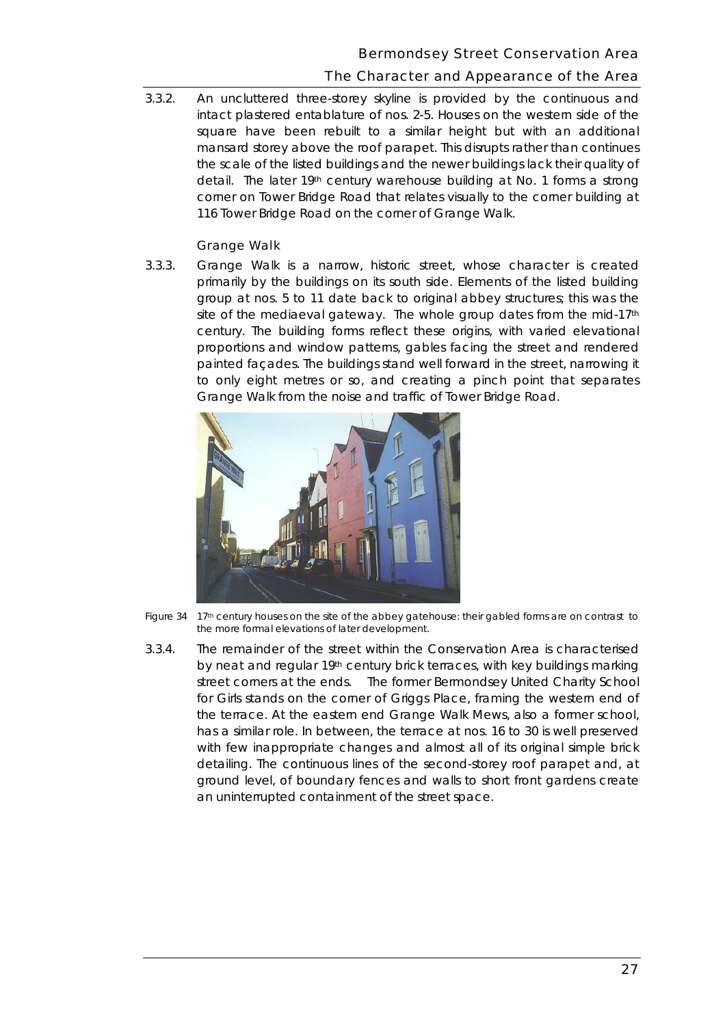3.3.2. An uncluttered three-storey skyline is provided by the continuous and intact plastered entablature of nos. 2-5. Houses on the western side of the square have been rebuilt to a similar height but with an additional mansard storey above the roof parapet. This disrupts rather than continues the scale of the listed buildings and the newer buildings lack their quality of detail. The later 19th century warehouse building at No. 1 forms a strong corner on Tower Bridge Road that relates visually to the corner building at 116 Tower Bridge Road on the corner of Grange Walk.

#### Grange Walk

 $3.3.3.$  group at nos. 5 to 11 date back to original abbey structures; this was the to only eight metres or so, and creating a pinch point that separates 3.3.3. Grange Walk is a narrow, historic street, whose character is created primarily by the buildings on its south side. Elements of the listed building site of the mediaeval gateway. The whole group dates from the mid-17th century. The building forms reflect these origins, with varied elevational proportions and window patterns, gables facing the street and rendered painted façades. The buildings stand well forward in the street, narrowing it Grange Walk from the noise and traffic of Tower Bridge Road.



 *Figure 34 17th century houses on the site of the abbey gatehouse: their gabled forms are on contrast to the more formal elevations of later development.* 

 3.3.4. The remainder of the street within the Conservation Area is characterised by neat and regular 19th century brick terraces, with key buildings marking street corners at the ends. The former Bermondsey United Charity School for Girls stands on the corner of Griggs Place, framing the western end of the terrace. At the eastern end Grange Walk Mews, also a former school, has a similar role. In between, the terrace at nos. 16 to 30 is well preserved with few inappropriate changes and almost all of its original simple brick detailing. The continuous lines of the second-storey roof parapet and, at ground level, of boundary fences and walls to short front gardens create an uninterrupted containment of the street space.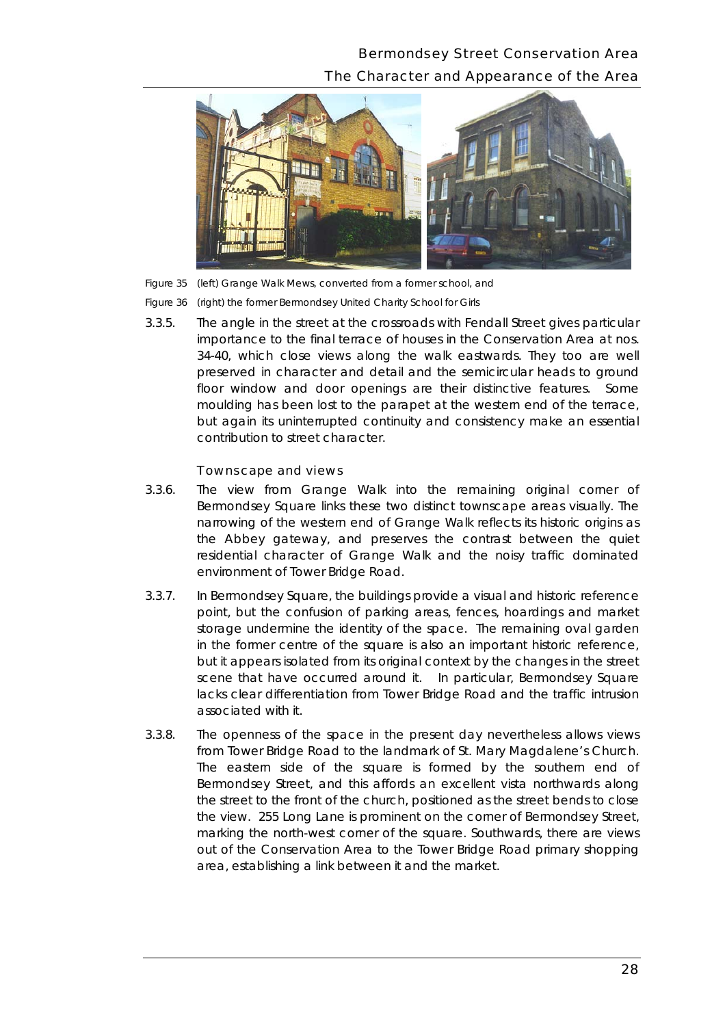# Bermondsey Street Conservation Area The Character and Appearance of the Area





*Figure 36 (right) the former Bermondsey United Charity School for Girls* 

 importance to the final terrace of houses in the Conservation Area at nos. floor window and door openings are their distinctive features. Some 3.3.5. The angle in the street at the crossroads with Fendall Street gives particular 34-40, which close views along the walk eastwards. They too are well preserved in character and detail and the semicircular heads to ground moulding has been lost to the parapet at the western end of the terrace, but again its uninterrupted continuity and consistency make an essential contribution to street character.

#### Townscape and views

- $3.3.6.$ The view from Grange Walk into the remaining original corner of Bermondsey Square links these two distinct townscape areas visually. The narrowing of the western end of Grange Walk reflects its historic origins as the Abbey gateway, and preserves the contrast between the quiet residential character of Grange Walk and the noisy traffic dominated environment of Tower Bridge Road.
- scene that have occurred around it. In particular, Bermondsey Square associated with it. 3.3.7. In Bermondsey Square, the buildings provide a visual and historic reference point, but the confusion of parking areas, fences, hoardings and market storage undermine the identity of the space. The remaining oval garden in the former centre of the square is also an important historic reference, but it appears isolated from its original context by the changes in the street lacks clear differentiation from Tower Bridge Road and the traffic intrusion
- marking the north-west corner of the square. Southwards, there are views out of the Conservation Area to the Tower Bridge Road primary shopping 3.3.8. The openness of the space in the present day nevertheless allows views from Tower Bridge Road to the landmark of St. Mary Magdalene's Church. The eastern side of the square is formed by the southern end of Bermondsey Street, and this affords an excellent vista northwards along the street to the front of the church, positioned as the street bends to close the view. 255 Long Lane is prominent on the corner of Bermondsey Street, area, establishing a link between it and the market.